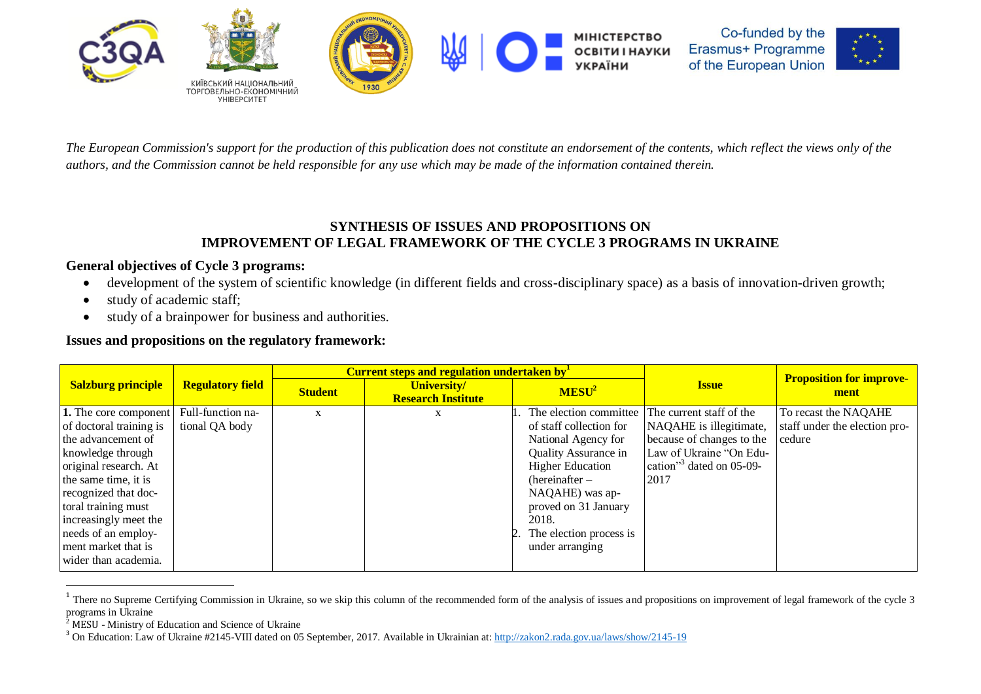

*The European Commission's support for the production of this publication does not constitute an endorsement of the contents, which reflect the views only of the authors, and the Commission cannot be held responsible for any use which may be made of the information contained therein.*

## **SYNTHESIS OF ISSUES AND PROPOSITIONS ON IMPROVEMENT OF LEGAL FRAMEWORK OF THE CYCLE 3 PROGRAMS IN UKRAINE**

## **General objectives of Cycle 3 programs:**

- development of the system of scientific knowledge (in different fields and cross-disciplinary space) as a basis of innovation-driven growth;
- study of academic staff;
- study of a brainpower for business and authorities.

## **Issues and propositions on the regulatory framework:**

|                           |                         |                | <b>Current steps and regulation undertaken by</b> |                                                   | <b>Proposition for improve-</b>         |                               |
|---------------------------|-------------------------|----------------|---------------------------------------------------|---------------------------------------------------|-----------------------------------------|-------------------------------|
| <b>Salzburg principle</b> | <b>Regulatory field</b> | <b>Student</b> | University/<br><b>Research Institute</b>          | MESU <sup>2</sup>                                 | <b>Issue</b>                            | ment                          |
| 1. The core component     | Full-function na-       | X              | X                                                 | . The election committee The current staff of the |                                         | To recast the NAQAHE          |
| of doctoral training is   | tional QA body          |                |                                                   | of staff collection for                           | NAQAHE is illegitimate,                 | staff under the election pro- |
| the advancement of        |                         |                |                                                   | National Agency for                               | because of changes to the               | cedure                        |
| knowledge through         |                         |                |                                                   | Quality Assurance in                              | Law of Ukraine "On Edu-                 |                               |
| original research. At     |                         |                |                                                   | <b>Higher Education</b>                           | cation" <sup>3</sup> dated on $05-09$ - |                               |
| the same time, it is      |                         |                |                                                   | (hereinafter –                                    | 2017                                    |                               |
| recognized that doc-      |                         |                |                                                   | NAQAHE) was ap-                                   |                                         |                               |
| toral training must       |                         |                |                                                   | proved on 31 January                              |                                         |                               |
| increasingly meet the     |                         |                |                                                   | 2018.                                             |                                         |                               |
| needs of an employ-       |                         |                |                                                   | 2. The election process is                        |                                         |                               |
| ment market that is       |                         |                |                                                   | under arranging                                   |                                         |                               |
| wider than academia.      |                         |                |                                                   |                                                   |                                         |                               |

<sup>&</sup>lt;sup>1</sup> There no Supreme Certifying Commission in Ukraine, so we skip this column of the recommended form of the analysis of issues and propositions on improvement of legal framework of the cycle 3 programs in Ukraine

 $\overline{a}$ 

<sup>2</sup> MESU - Ministry of Education and Science of Ukraine

<sup>&</sup>lt;sup>3</sup> On Education: Law of Ukraine #2145-VIII dated on 05 September, 2017. Available in Ukrainian at: <http://zakon2.rada.gov.ua/laws/show/2145-19>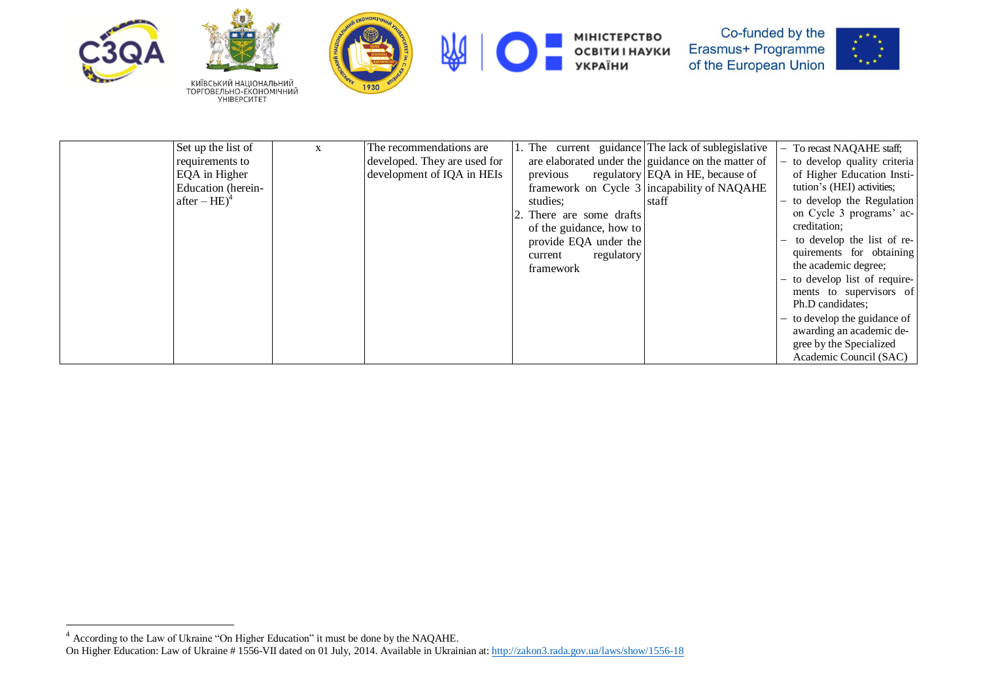

 $\overline{a}$ 



КИЇВСЬКИЙ НАЦІОНАЛЬНИЙ<br>ТОРГОВЕЛЬНО-ЕКОНОМІЧНИЙ<br>УНІВЕРСИТЕТ





МІНІСТЕРСТВО<br>ОСВІТИ І НАУКИ<br>УКРАЇНИ



| Set up the list of | $\mathbf{x}$ | The recommendations are      |                          | 1. The current guidance The lack of sublegislative | - To recast NAQAHE staff;     |
|--------------------|--------------|------------------------------|--------------------------|----------------------------------------------------|-------------------------------|
| requirements to    |              | developed. They are used for |                          | are elaborated under the guidance on the matter of | to develop quality criteria   |
| EQA in Higher      |              | development of IQA in HEIs   | previous                 | regulatory EQA in HE, because of                   | of Higher Education Insti-    |
| Education (herein- |              |                              |                          | framework on Cycle 3 incapability of NAQAHE        | tution's (HEI) activities;    |
| after $-HE)^4$     |              |                              | studies:                 | staff                                              | to develop the Regulation     |
|                    |              |                              | 2. There are some drafts |                                                    | on Cycle 3 programs' ac-      |
|                    |              |                              | of the guidance, how to  |                                                    | creditation;                  |
|                    |              |                              | provide EQA under the    |                                                    | to develop the list of re-    |
|                    |              |                              | regulatory<br>current    |                                                    | quirements for obtaining      |
|                    |              |                              | framework                |                                                    | the academic degree;          |
|                    |              |                              |                          |                                                    | - to develop list of require- |
|                    |              |                              |                          |                                                    | ments to supervisors of       |
|                    |              |                              |                          |                                                    | Ph.D candidates:              |
|                    |              |                              |                          |                                                    | - to develop the guidance of  |
|                    |              |                              |                          |                                                    | awarding an academic de-      |
|                    |              |                              |                          |                                                    | gree by the Specialized       |
|                    |              |                              |                          |                                                    | Academic Council (SAC)        |

<sup>&</sup>lt;sup>4</sup> According to the Law of Ukraine "On Higher Education" it must be done by the NAQAHE. On Higher Education: Law of Ukraine # 1556-VII dated on 01 July, 2014. Available in Ukrainian at: <http://zakon3.rada.gov.ua/laws/show/1556-18>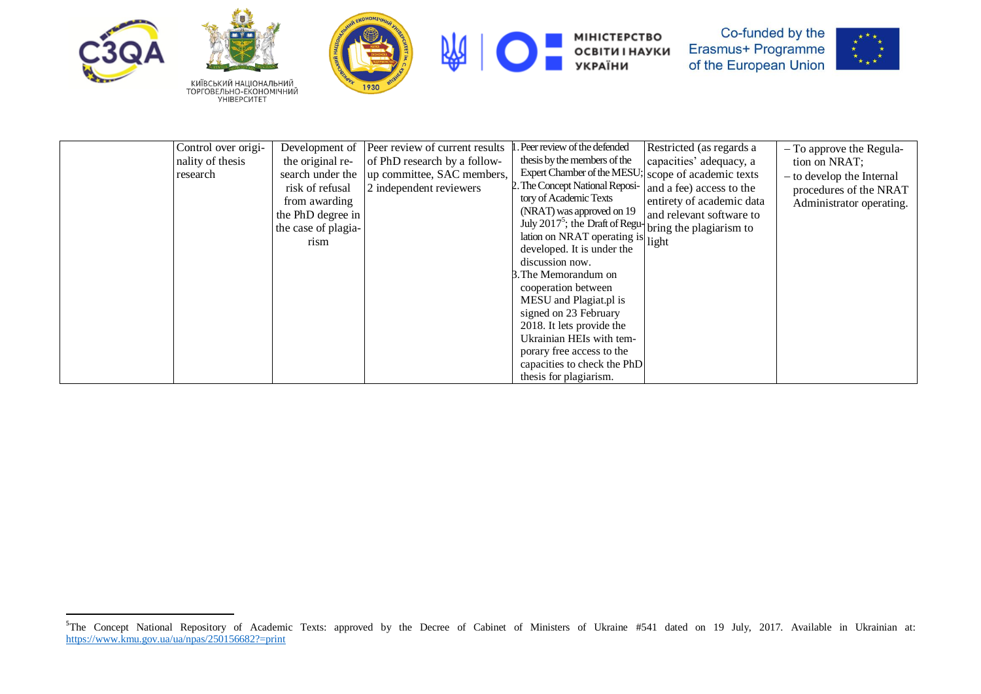







МІНІСТЕРСТВО<br>ОСВІТИ І НАУКИ<br>УКРАЇНИ



| Control over origi- | Development of      | Peer review of current results | . Peer review of the defended                                       | Restricted (as regards a  | $-$ To approve the Regula- |
|---------------------|---------------------|--------------------------------|---------------------------------------------------------------------|---------------------------|----------------------------|
| nality of thesis    | the original re-    | of PhD research by a follow-   | thesis by the members of the                                        | capacities' adequacy, a   | tion on NRAT;              |
| research            | search under the    | up committee, SAC members,     | Expert Chamber of the MESU; scope of academic texts                 |                           | - to develop the Internal  |
|                     | risk of refusal     | 2 independent reviewers        | 2. The Concept National Reposi-                                     | and a fee) access to the  | procedures of the NRAT     |
|                     | from awarding       |                                | tory of Academic Texts                                              | entirety of academic data | Administrator operating.   |
|                     | the PhD degree in   |                                | (NRAT) was approved on 19                                           | and relevant software to  |                            |
|                     | the case of plagia- |                                | July 2017 <sup>5</sup> ; the Draft of Regu- bring the plagiarism to |                           |                            |
|                     | rism                |                                | lation on NRAT operating is light                                   |                           |                            |
|                     |                     |                                | developed. It is under the                                          |                           |                            |
|                     |                     |                                | discussion now.                                                     |                           |                            |
|                     |                     |                                | 3. The Memorandum on                                                |                           |                            |
|                     |                     |                                | cooperation between                                                 |                           |                            |
|                     |                     |                                | MESU and Plagiat.pl is                                              |                           |                            |
|                     |                     |                                | signed on 23 February                                               |                           |                            |
|                     |                     |                                | 2018. It lets provide the                                           |                           |                            |
|                     |                     |                                | Ukrainian HEIs with tem-                                            |                           |                            |
|                     |                     |                                | porary free access to the                                           |                           |                            |
|                     |                     |                                | capacities to check the PhD                                         |                           |                            |
|                     |                     |                                | thesis for plagiarism.                                              |                           |                            |

<sup>&</sup>lt;sup>5</sup>The Concept National Repository of Academic Texts: approved by the Decree of Cabinet of Ministers of Ukraine #541 dated on 19 July, 2017. Available in Ukrainian at: <https://www.kmu.gov.ua/ua/npas/250156682?=print>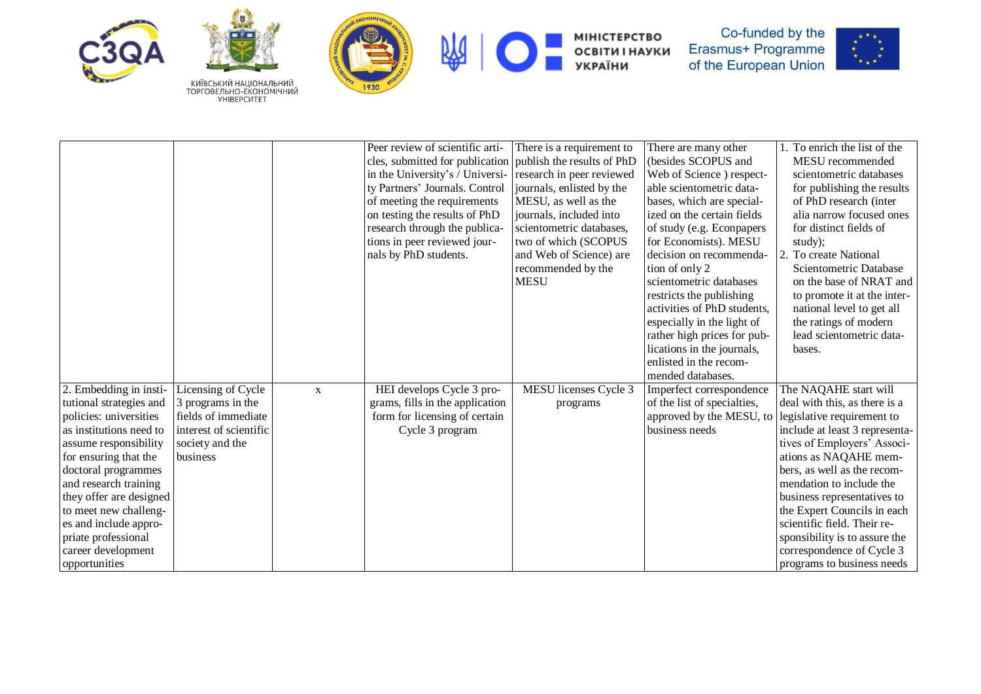





熌



МІНІСТЕРСТВО<br>ОСВІТИ І НАУКИ<br>УКРАЇНИ



|                         |                        |             | Peer review of scientific arti- | There is a requirement to  | There are many other        | 1. To enrich the list of the   |
|-------------------------|------------------------|-------------|---------------------------------|----------------------------|-----------------------------|--------------------------------|
|                         |                        |             | cles, submitted for publication | publish the results of PhD | (besides SCOPUS and         | MESU recommended               |
|                         |                        |             | in the University's / Universi- | research in peer reviewed  | Web of Science) respect-    | scientometric databases        |
|                         |                        |             | ty Partners' Journals. Control  | journals, enlisted by the  | able scientometric data-    | for publishing the results     |
|                         |                        |             | of meeting the requirements     | MESU, as well as the       | bases, which are special-   | of PhD research (inter         |
|                         |                        |             | on testing the results of PhD   | journals, included into    | ized on the certain fields  | alia narrow focused ones       |
|                         |                        |             | research through the publica-   | scientometric databases,   | of study (e.g. Econpapers   | for distinct fields of         |
|                         |                        |             | tions in peer reviewed jour-    | two of which (SCOPUS       | for Economists). MESU       | study);                        |
|                         |                        |             | nals by PhD students.           | and Web of Science) are    | decision on recommenda-     | 2. To create National          |
|                         |                        |             |                                 | recommended by the         | tion of only 2              | Scientometric Database         |
|                         |                        |             |                                 | <b>MESU</b>                | scientometric databases     | on the base of NRAT and        |
|                         |                        |             |                                 |                            | restricts the publishing    | to promote it at the inter-    |
|                         |                        |             |                                 |                            | activities of PhD students, | national level to get all      |
|                         |                        |             |                                 |                            | especially in the light of  | the ratings of modern          |
|                         |                        |             |                                 |                            | rather high prices for pub- | lead scientometric data-       |
|                         |                        |             |                                 |                            | lications in the journals,  | bases.                         |
|                         |                        |             |                                 |                            | enlisted in the recom-      |                                |
|                         |                        |             |                                 |                            | mended databases.           |                                |
| 2. Embedding in insti-  | Licensing of Cycle     | $\mathbf X$ | HEI develops Cycle 3 pro-       | MESU licenses Cycle 3      | Imperfect correspondence    | The NAQAHE start will          |
| tutional strategies and | 3 programs in the      |             | grams, fills in the application | programs                   | of the list of specialties, | deal with this, as there is a  |
| policies: universities  | fields of immediate    |             | form for licensing of certain   |                            | approved by the MESU, to    | legislative requirement to     |
| as institutions need to | interest of scientific |             | Cycle 3 program                 |                            | business needs              | include at least 3 representa- |
| assume responsibility   | society and the        |             |                                 |                            |                             | tives of Employers' Associ-    |
| for ensuring that the   | business               |             |                                 |                            |                             | ations as NAQAHE mem-          |
| doctoral programmes     |                        |             |                                 |                            |                             | bers, as well as the recom-    |
| and research training   |                        |             |                                 |                            |                             | mendation to include the       |
| they offer are designed |                        |             |                                 |                            |                             | business representatives to    |
| to meet new challeng-   |                        |             |                                 |                            |                             | the Expert Councils in each    |
| es and include appro-   |                        |             |                                 |                            |                             | scientific field. Their re-    |
| priate professional     |                        |             |                                 |                            |                             | sponsibility is to assure the  |
| career development      |                        |             |                                 |                            |                             | correspondence of Cycle 3      |
| opportunities           |                        |             |                                 |                            |                             | programs to business needs     |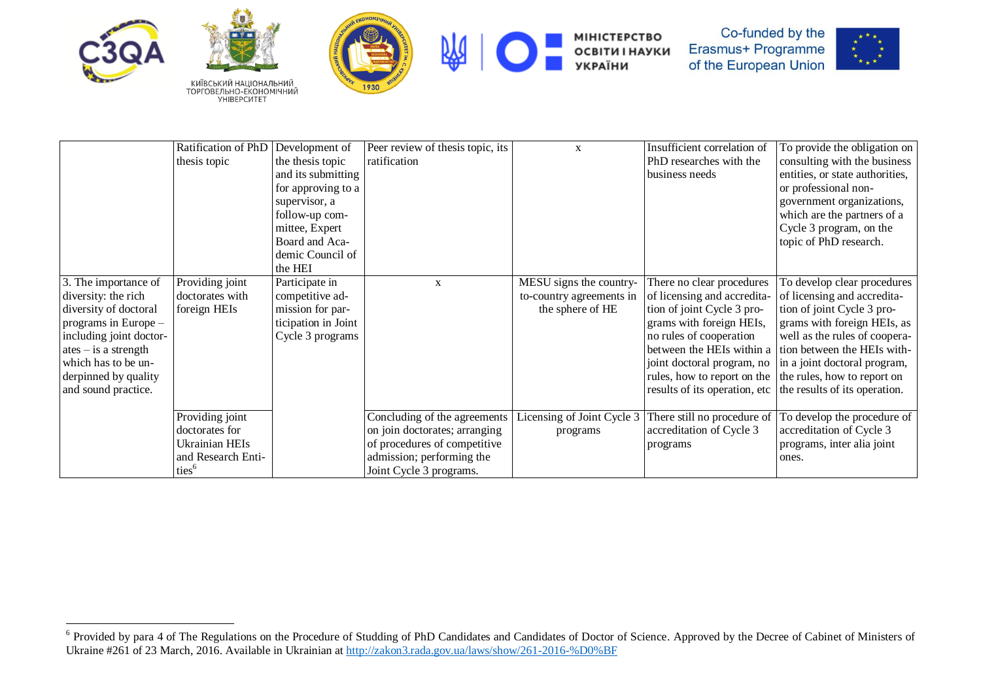









МІНІСТЕРСТВО<br>ОСВІТИ І НАУКИ<br>УКРАЇНИ



|                         | Ratification of PhD   | Development of      | Peer review of thesis topic, its | X                          | Insufficient correlation of   | To provide the obligation on    |
|-------------------------|-----------------------|---------------------|----------------------------------|----------------------------|-------------------------------|---------------------------------|
|                         | thesis topic          | the thesis topic    | ratification                     |                            | PhD researches with the       | consulting with the business    |
|                         |                       | and its submitting  |                                  |                            | business needs                | entities, or state authorities, |
|                         |                       | for approving to a  |                                  |                            |                               | or professional non-            |
|                         |                       | supervisor, a       |                                  |                            |                               | government organizations,       |
|                         |                       | follow-up com-      |                                  |                            |                               | which are the partners of a     |
|                         |                       | mittee, Expert      |                                  |                            |                               | Cycle 3 program, on the         |
|                         |                       | Board and Aca-      |                                  |                            |                               | topic of PhD research.          |
|                         |                       | demic Council of    |                                  |                            |                               |                                 |
|                         |                       | the HEI             |                                  |                            |                               |                                 |
| 3. The importance of    | Providing joint       | Participate in      | X                                | MESU signs the country-    | There no clear procedures     | To develop clear procedures     |
| diversity: the rich     | doctorates with       | competitive ad-     |                                  | to-country agreements in   | of licensing and accredita-   | of licensing and accredita-     |
| diversity of doctoral   | foreign HEIs          | mission for par-    |                                  | the sphere of HE           | tion of joint Cycle 3 pro-    | tion of joint Cycle 3 pro-      |
| programs in Europe -    |                       | ticipation in Joint |                                  |                            | grams with foreign HEIs,      | grams with foreign HEIs, as     |
| including joint doctor- |                       | Cycle 3 programs    |                                  |                            | no rules of cooperation       | well as the rules of coopera-   |
| $ates - is a strength$  |                       |                     |                                  |                            | between the HEIs within a     | tion between the HEIs with-     |
| which has to be un-     |                       |                     |                                  |                            | joint doctoral program, no    | in a joint doctoral program,    |
| derpinned by quality    |                       |                     |                                  |                            | rules, how to report on the   | the rules, how to report on     |
| and sound practice.     |                       |                     |                                  |                            | results of its operation, etc | the results of its operation.   |
|                         |                       |                     |                                  |                            |                               |                                 |
|                         | Providing joint       |                     | Concluding of the agreements     | Licensing of Joint Cycle 3 | There still no procedure of   | To develop the procedure of     |
|                         | doctorates for        |                     | on join doctorates; arranging    | programs                   | accreditation of Cycle 3      | accreditation of Cycle 3        |
|                         | <b>Ukrainian HEIs</b> |                     | of procedures of competitive     |                            | programs                      | programs, inter alia joint      |
|                         | and Research Enti-    |                     | admission; performing the        |                            |                               | ones.                           |
|                         | ties <sup>6</sup>     |                     | Joint Cycle 3 programs.          |                            |                               |                                 |

<sup>&</sup>lt;sup>6</sup> Provided by para 4 of The Regulations on the Procedure of Studding of PhD Candidates and Candidates of Doctor of Science. Approved by the Decree of Cabinet of Ministers of Ukraine #261 of 23 March, 2016. Available in Ukrainian at <http://zakon3.rada.gov.ua/laws/show/261-2016-%D0%BF>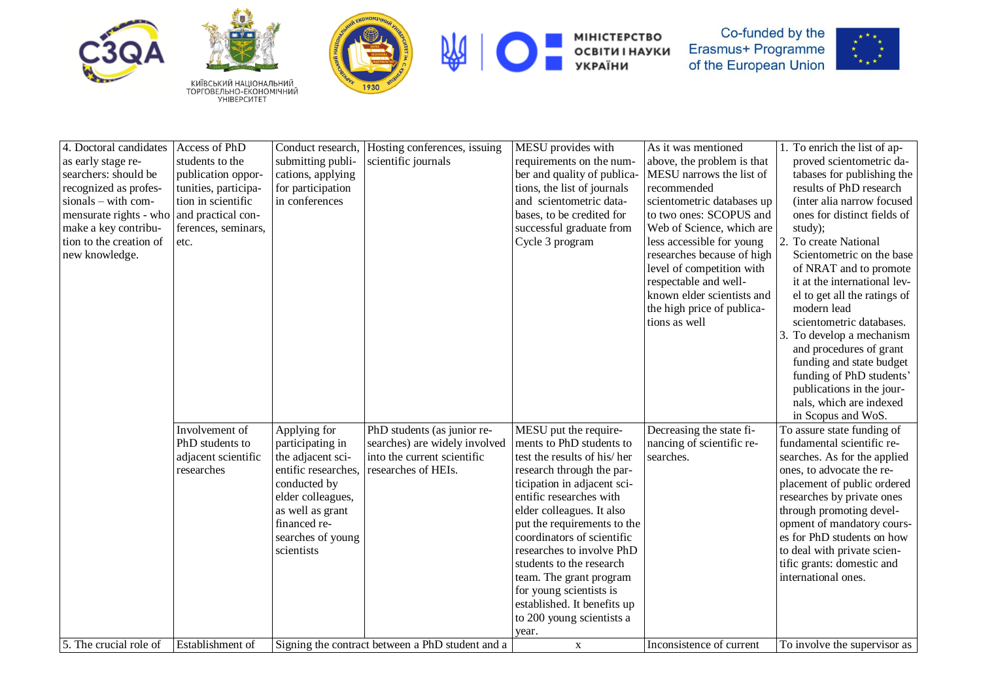





熌



МІНІСТЕРСТВО<br>ОСВІТИ І НАУКИ<br>УКРАЇНИ



| 4. Doctoral candidates  | Access of PhD           | Conduct research,   | Hosting conferences, issuing                     | MESU provides with          | As it was mentioned        | 1. To enrich the list of ap- |
|-------------------------|-------------------------|---------------------|--------------------------------------------------|-----------------------------|----------------------------|------------------------------|
| as early stage re-      | students to the         | submitting publi-   | scientific journals                              | requirements on the num-    | above, the problem is that | proved scientometric da-     |
| searchers: should be    | publication oppor-      | cations, applying   |                                                  | ber and quality of publica- | MESU narrows the list of   | tabases for publishing the   |
| recognized as profes-   | tunities, participa-    | for participation   |                                                  | tions, the list of journals | recommended                | results of PhD research      |
| sionals - with com-     | tion in scientific      | in conferences      |                                                  | and scientometric data-     | scientometric databases up | (inter alia narrow focused   |
| mensurate rights - who  | and practical con-      |                     |                                                  | bases, to be credited for   | to two ones: SCOPUS and    | ones for distinct fields of  |
| make a key contribu-    | ferences, seminars,     |                     |                                                  | successful graduate from    | Web of Science, which are  | study);                      |
| tion to the creation of | etc.                    |                     |                                                  | Cycle 3 program             | less accessible for young  | 2. To create National        |
| new knowledge.          |                         |                     |                                                  |                             | researches because of high | Scientometric on the base    |
|                         |                         |                     |                                                  |                             | level of competition with  | of NRAT and to promote       |
|                         |                         |                     |                                                  |                             | respectable and well-      | it at the international lev- |
|                         |                         |                     |                                                  |                             | known elder scientists and | el to get all the ratings of |
|                         |                         |                     |                                                  |                             | the high price of publica- | modern lead                  |
|                         |                         |                     |                                                  |                             | tions as well              | scientometric databases.     |
|                         |                         |                     |                                                  |                             |                            | 3. To develop a mechanism    |
|                         |                         |                     |                                                  |                             |                            | and procedures of grant      |
|                         |                         |                     |                                                  |                             |                            | funding and state budget     |
|                         |                         |                     |                                                  |                             |                            | funding of PhD students'     |
|                         |                         |                     |                                                  |                             |                            | publications in the jour-    |
|                         |                         |                     |                                                  |                             |                            | nals, which are indexed      |
|                         |                         |                     |                                                  |                             |                            | in Scopus and WoS.           |
|                         | Involvement of          | Applying for        | PhD students (as junior re-                      | MESU put the require-       | Decreasing the state fi-   | To assure state funding of   |
|                         | PhD students to         | participating in    | searches) are widely involved                    | ments to PhD students to    | nancing of scientific re-  | fundamental scientific re-   |
|                         | adjacent scientific     | the adjacent sci-   | into the current scientific                      | test the results of his/her | searches.                  | searches. As for the applied |
|                         | researches              | entific researches, | researches of HEIs.                              | research through the par-   |                            | ones, to advocate the re-    |
|                         |                         | conducted by        |                                                  | ticipation in adjacent sci- |                            | placement of public ordered  |
|                         |                         | elder colleagues,   |                                                  | entific researches with     |                            | researches by private ones   |
|                         |                         | as well as grant    |                                                  | elder colleagues. It also   |                            | through promoting devel-     |
|                         |                         | financed re-        |                                                  | put the requirements to the |                            | opment of mandatory cours-   |
|                         |                         | searches of young   |                                                  | coordinators of scientific  |                            | es for PhD students on how   |
|                         |                         | scientists          |                                                  | researches to involve PhD   |                            | to deal with private scien-  |
|                         |                         |                     |                                                  | students to the research    |                            | tific grants: domestic and   |
|                         |                         |                     |                                                  | team. The grant program     |                            | international ones.          |
|                         |                         |                     |                                                  | for young scientists is     |                            |                              |
|                         |                         |                     |                                                  | established. It benefits up |                            |                              |
|                         |                         |                     |                                                  | to 200 young scientists a   |                            |                              |
|                         |                         |                     |                                                  | year.                       |                            |                              |
| 5. The crucial role of  | <b>Establishment</b> of |                     | Signing the contract between a PhD student and a | $\mathbf{X}$                | Inconsistence of current   | To involve the supervisor as |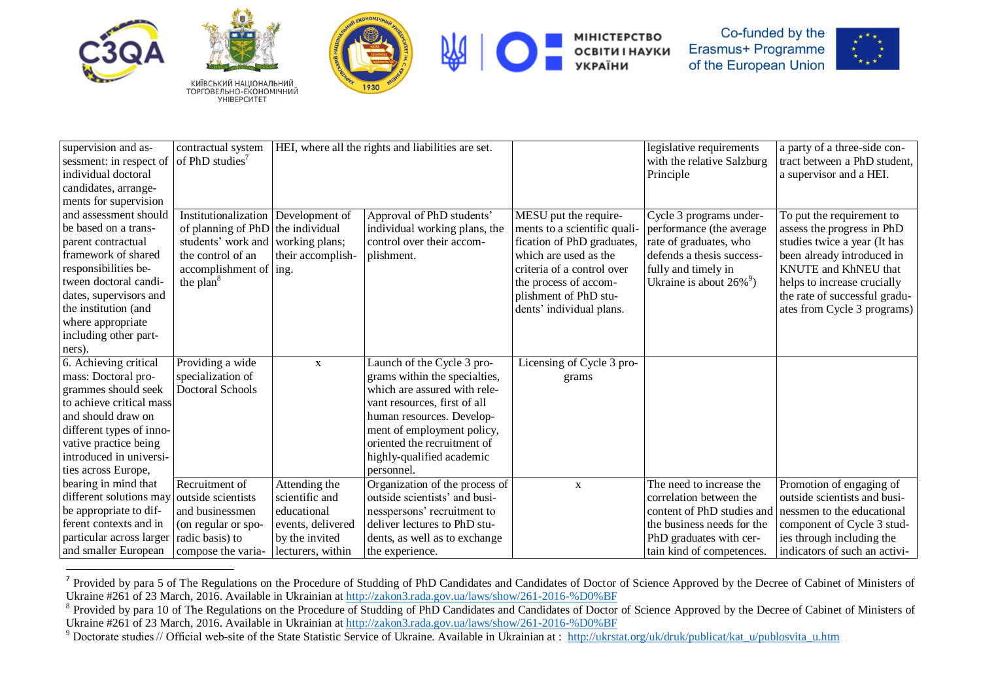





МІНІСТЕРСТВО<br>ОСВІТИ І НАУКИ **УКРАЇНИ** 



| supervision and as-      | contractual system                |                   | HEI, where all the rights and liabilities are set. |                              | legislative requirements               | a party of a three-side con-       |
|--------------------------|-----------------------------------|-------------------|----------------------------------------------------|------------------------------|----------------------------------------|------------------------------------|
| sessment: in respect of  | of PhD studies <sup>7</sup>       |                   |                                                    |                              | with the relative Salzburg             | tract between a PhD student,       |
| individual doctoral      |                                   |                   |                                                    |                              | Principle                              | a supervisor and a HEI.            |
| candidates, arrange-     |                                   |                   |                                                    |                              |                                        |                                    |
| ments for supervision    |                                   |                   |                                                    |                              |                                        |                                    |
| and assessment should    | Institutionalization              | Development of    | Approval of PhD students'                          | MESU put the require-        | Cycle 3 programs under-                | To put the requirement to          |
| be based on a trans-     | of planning of PhD                | the individual    | individual working plans, the                      | ments to a scientific quali- | performance (the average               | assess the progress in PhD         |
| parent contractual       | students' work and working plans; |                   | control over their accom-                          | fication of PhD graduates,   | rate of graduates, who                 | studies twice a year (It has       |
| framework of shared      | the control of an                 | their accomplish- | plishment.                                         | which are used as the        | defends a thesis success-              | been already introduced in         |
| responsibilities be-     | accomplishment of   ing.          |                   |                                                    | criteria of a control over   | fully and timely in                    | <b>KNUTE</b> and <b>KhNEU</b> that |
| tween doctoral candi-    | the plan <sup>8</sup>             |                   |                                                    | the process of accom-        | Ukraine is about $26\%$ <sup>9</sup> ) | helps to increase crucially        |
| dates, supervisors and   |                                   |                   |                                                    | plishment of PhD stu-        |                                        | the rate of successful gradu-      |
| the institution (and     |                                   |                   |                                                    | dents' individual plans.     |                                        | ates from Cycle 3 programs)        |
| where appropriate        |                                   |                   |                                                    |                              |                                        |                                    |
| including other part-    |                                   |                   |                                                    |                              |                                        |                                    |
| ners).                   |                                   |                   |                                                    |                              |                                        |                                    |
| 6. Achieving critical    | Providing a wide                  | $\mathbf X$       | Launch of the Cycle 3 pro-                         | Licensing of Cycle 3 pro-    |                                        |                                    |
| mass: Doctoral pro-      | specialization of                 |                   | grams within the specialties,                      | grams                        |                                        |                                    |
| grammes should seek      | Doctoral Schools                  |                   | which are assured with rele-                       |                              |                                        |                                    |
| to achieve critical mass |                                   |                   | vant resources, first of all                       |                              |                                        |                                    |
| and should draw on       |                                   |                   | human resources. Develop-                          |                              |                                        |                                    |
| different types of inno- |                                   |                   | ment of employment policy,                         |                              |                                        |                                    |
| vative practice being    |                                   |                   | oriented the recruitment of                        |                              |                                        |                                    |
| introduced in universi-  |                                   |                   | highly-qualified academic                          |                              |                                        |                                    |
| ties across Europe,      |                                   |                   | personnel.                                         |                              |                                        |                                    |
| bearing in mind that     | Recruitment of                    | Attending the     | Organization of the process of                     | $\mathbf X$                  | The need to increase the               | Promotion of engaging of           |
| different solutions may  | outside scientists                | scientific and    | outside scientists' and busi-                      |                              | correlation between the                | outside scientists and busi-       |
| be appropriate to dif-   | and businessmen                   | educational       | nesspersons' recruitment to                        |                              | content of PhD studies and             | nessmen to the educational         |
| ferent contexts and in   | (on regular or spo-               | events, delivered | deliver lectures to PhD stu-                       |                              | the business needs for the             | component of Cycle 3 stud-         |
| particular across larger | radic basis) to                   | by the invited    | dents, as well as to exchange                      |                              | PhD graduates with cer-                | ies through including the          |
| and smaller European     | compose the varia-                | lecturers, within | the experience.                                    |                              | tain kind of competences.              | indicators of such an activi-      |

<sup>&</sup>lt;sup>7</sup> Provided by para 5 of The Regulations on the Procedure of Studding of PhD Candidates and Candidates of Doctor of Science Approved by the Decree of Cabinet of Ministers of Ukraine #261 of 23 March, 2016. Available in Ukrainian at <http://zakon3.rada.gov.ua/laws/show/261-2016-%D0%BF>

<sup>&</sup>lt;sup>8</sup> Provided by para 10 of The Regulations on the Procedure of Studding of PhD Candidates and Candidates of Doctor of Science Approved by the Decree of Cabinet of Ministers of Ukraine #261 of 23 March, 2016. Available in Ukrainian at <http://zakon3.rada.gov.ua/laws/show/261-2016-%D0%BF>

<sup>&</sup>lt;sup>9</sup> Doctorate studies // Official web-site of the State Statistic Service of Ukraine. Available in Ukrainian at : [http://ukrstat.org/uk/druk/publicat/kat\\_u/publosvita\\_u.htm](http://ukrstat.org/uk/druk/publicat/kat_u/publosvita_u.htm)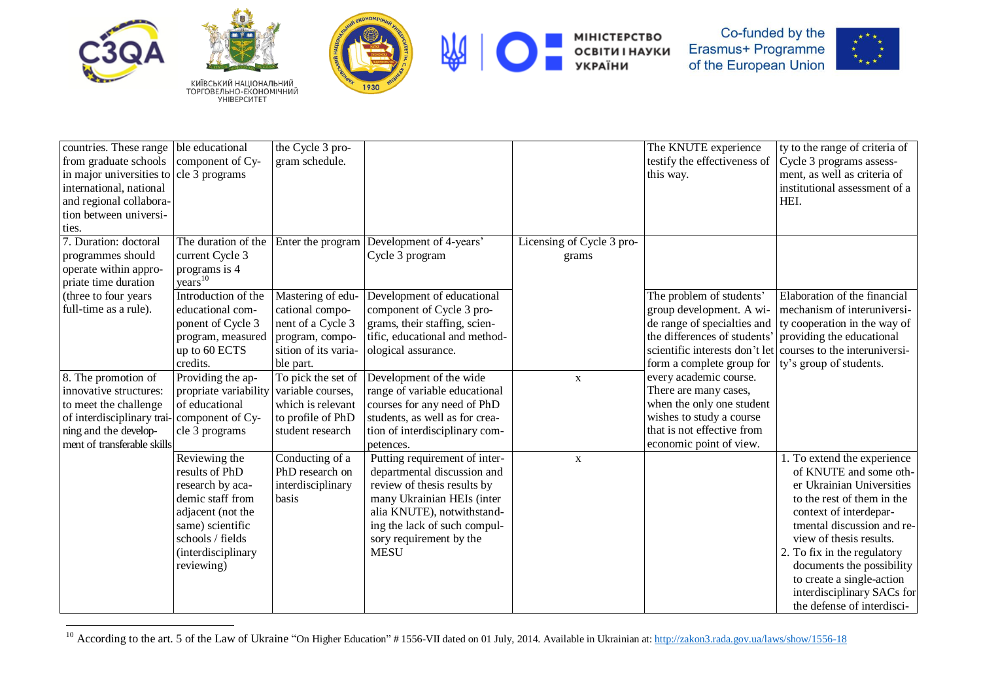

 $\overline{\phantom{a}}$ 







MIHICTEPCTBO<br>OCBITИ I НАУКИ<br>УКРАЇНИ



| countries. These range ble educational  |                                        | the Cycle 3 pro-     |                                |                           | The KNUTE experience           | ty to the range of criteria of |
|-----------------------------------------|----------------------------------------|----------------------|--------------------------------|---------------------------|--------------------------------|--------------------------------|
| from graduate schools                   | component of Cy-                       | gram schedule.       |                                |                           | testify the effectiveness of   | Cycle 3 programs assess-       |
| in major universities to cle 3 programs |                                        |                      |                                |                           | this way.                      | ment, as well as criteria of   |
| international, national                 |                                        |                      |                                |                           |                                | institutional assessment of a  |
| and regional collabora-                 |                                        |                      |                                |                           |                                | HEI.                           |
| tion between universi-                  |                                        |                      |                                |                           |                                |                                |
| ties.                                   |                                        |                      |                                |                           |                                |                                |
| 7. Duration: doctoral                   | The duration of the                    | Enter the program    | Development of 4-years'        | Licensing of Cycle 3 pro- |                                |                                |
| programmes should                       | current Cycle 3                        |                      | Cycle 3 program                | grams                     |                                |                                |
| operate within appro-                   |                                        |                      |                                |                           |                                |                                |
| priate time duration                    | programs is $4$<br>years <sup>10</sup> |                      |                                |                           |                                |                                |
| (three to four years)                   | Introduction of the                    | Mastering of edu-    | Development of educational     |                           | The problem of students'       | Elaboration of the financial   |
| full-time as a rule).                   | educational com-                       | cational compo-      | component of Cycle 3 pro-      |                           | group development. A wi-       | mechanism of interuniversi-    |
|                                         | ponent of Cycle 3                      | nent of a Cycle 3    | grams, their staffing, scien-  |                           | de range of specialties and    | ty cooperation in the way of   |
|                                         | program, measured                      | program, compo-      | tific, educational and method- |                           | the differences of students'   | providing the educational      |
|                                         | up to 60 ECTS                          | sition of its varia- | ological assurance.            |                           | scientific interests don't let | courses to the interuniversi-  |
|                                         | credits.                               | ble part.            |                                |                           | form a complete group for      | ty's group of students.        |
| 8. The promotion of                     | Providing the ap-                      | To pick the set of   | Development of the wide        | $\mathbf X$               | every academic course.         |                                |
| innovative structures:                  | propriate variability                  | variable courses,    | range of variable educational  |                           | There are many cases,          |                                |
| to meet the challenge                   | of educational                         | which is relevant    | courses for any need of PhD    |                           | when the only one student      |                                |
| of interdisciplinary trai-              | component of Cy-                       | to profile of PhD    | students, as well as for crea- |                           | wishes to study a course       |                                |
| ning and the develop-                   | cle 3 programs                         | student research     | tion of interdisciplinary com- |                           | that is not effective from     |                                |
| ment of transferable skills             |                                        |                      | petences.                      |                           | economic point of view.        |                                |
|                                         | $\overline{Re}$ Neviewing the          | Conducting of a      | Putting requirement of inter-  | $\mathbf X$               |                                | 1. To extend the experience    |
|                                         | results of PhD                         | PhD research on      | departmental discussion and    |                           |                                | of KNUTE and some oth-         |
|                                         | research by aca-                       | interdisciplinary    | review of thesis results by    |                           |                                | er Ukrainian Universities      |
|                                         | demic staff from                       | basis                | many Ukrainian HEIs (inter     |                           |                                | to the rest of them in the     |
|                                         | adjacent (not the                      |                      | alia KNUTE), notwithstand-     |                           |                                | context of interdepar-         |
|                                         | same) scientific                       |                      | ing the lack of such compul-   |                           |                                | tmental discussion and re-     |
|                                         | schools / fields                       |                      | sory requirement by the        |                           |                                | view of thesis results.        |
|                                         | (interdisciplinary                     |                      | <b>MESU</b>                    |                           |                                | 2. To fix in the regulatory    |
|                                         | reviewing)                             |                      |                                |                           |                                | documents the possibility      |
|                                         |                                        |                      |                                |                           |                                | to create a single-action      |
|                                         |                                        |                      |                                |                           |                                | interdisciplinary SACs for     |
|                                         |                                        |                      |                                |                           |                                | the defense of interdisci-     |

<sup>&</sup>lt;sup>10</sup> According to the art. 5 of the Law of Ukraine "On Higher Education" # 1556-VII dated on 01 July, 2014. Available in Ukrainian at: <http://zakon3.rada.gov.ua/laws/show/1556-18>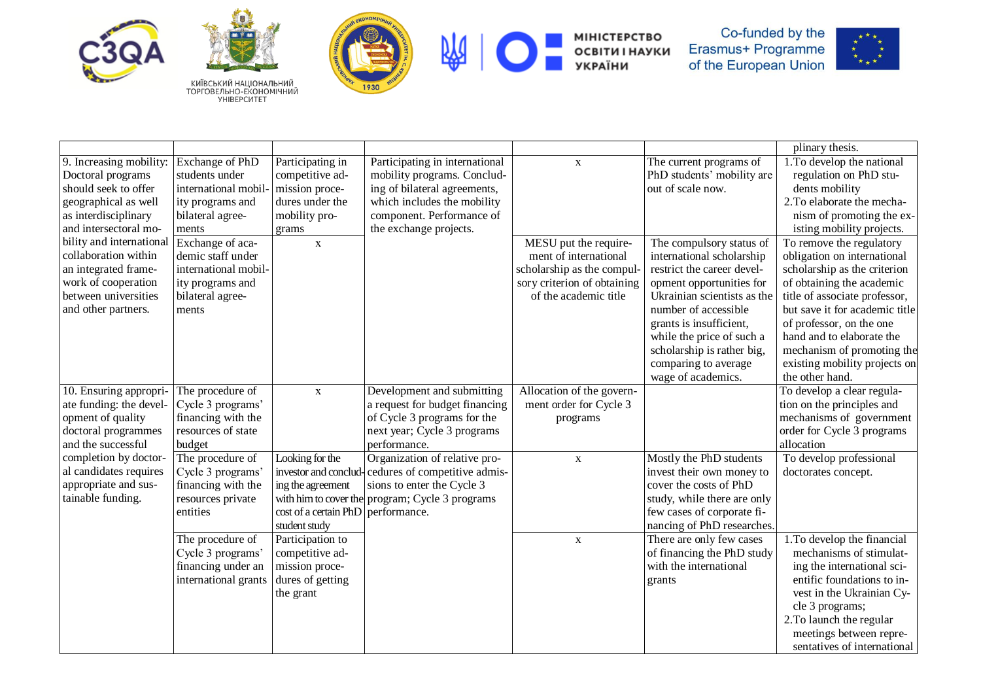





附



МІНІСТЕРСТВО<br>ОСВІТИ І НАУКИ<br>УКРАЇНИ



|                          |                      |                                    |                                                    |                             |                             | plinary thesis.                |
|--------------------------|----------------------|------------------------------------|----------------------------------------------------|-----------------------------|-----------------------------|--------------------------------|
| 9. Increasing mobility:  | Exchange of PhD      | Participating in                   | Participating in international                     | $\mathbf{X}$                | The current programs of     | 1. To develop the national     |
| Doctoral programs        | students under       | competitive ad-                    | mobility programs. Conclud-                        |                             | PhD students' mobility are  | regulation on PhD stu-         |
| should seek to offer     | international mobil  | mission proce-                     | ing of bilateral agreements,                       |                             | out of scale now.           | dents mobility                 |
| geographical as well     | ity programs and     | dures under the                    | which includes the mobility                        |                             |                             | 2. To elaborate the mecha-     |
| as interdisciplinary     | bilateral agree-     | mobility pro-                      | component. Performance of                          |                             |                             | nism of promoting the ex-      |
| and intersectoral mo-    | ments                | grams                              | the exchange projects.                             |                             |                             | isting mobility projects.      |
| bility and international | Exchange of aca-     | $\mathbf X$                        |                                                    | MESU put the require-       | The compulsory status of    | To remove the regulatory       |
| collaboration within     | demic staff under    |                                    |                                                    | ment of international       | international scholarship   | obligation on international    |
| an integrated frame-     | international mobil- |                                    |                                                    | scholarship as the compul-  | restrict the career devel-  | scholarship as the criterion   |
| work of cooperation      | ity programs and     |                                    |                                                    | sory criterion of obtaining | opment opportunities for    | of obtaining the academic      |
| between universities     | bilateral agree-     |                                    |                                                    | of the academic title       | Ukrainian scientists as the | title of associate professor,  |
| and other partners.      | ments                |                                    |                                                    |                             | number of accessible        | but save it for academic title |
|                          |                      |                                    |                                                    |                             | grants is insufficient,     | of professor, on the one       |
|                          |                      |                                    |                                                    |                             | while the price of such a   | hand and to elaborate the      |
|                          |                      |                                    |                                                    |                             | scholarship is rather big,  | mechanism of promoting the     |
|                          |                      |                                    |                                                    |                             | comparing to average        | existing mobility projects on  |
|                          |                      |                                    |                                                    |                             | wage of academics.          | the other hand.                |
| 10. Ensuring appropri-   | The procedure of     | $\mathbf{x}$                       | Development and submitting                         | Allocation of the govern-   |                             | To develop a clear regula-     |
| ate funding: the devel-  | Cycle 3 programs'    |                                    | a request for budget financing                     | ment order for Cycle 3      |                             | tion on the principles and     |
| opment of quality        | financing with the   |                                    | of Cycle 3 programs for the                        | programs                    |                             | mechanisms of government       |
| doctoral programmes      | resources of state   |                                    | next year; Cycle 3 programs                        |                             |                             | order for Cycle 3 programs     |
| and the successful       | budget               |                                    | performance.                                       |                             |                             | allocation                     |
| completion by doctor-    | The procedure of     | Looking for the                    | Organization of relative pro-                      | $\mathbf X$                 | Mostly the PhD students     | To develop professional        |
| al candidates requires   | Cycle 3 programs'    |                                    | investor and conclud-cedures of competitive admis- |                             | invest their own money to   | doctorates concept.            |
| appropriate and sus-     | financing with the   | ing the agreement                  | sions to enter the Cycle 3                         |                             | cover the costs of PhD      |                                |
| tainable funding.        | resources private    |                                    | with him to cover the program; Cycle 3 programs    |                             | study, while there are only |                                |
|                          | entities             | cost of a certain PhD performance. |                                                    |                             | few cases of corporate fi-  |                                |
|                          |                      | student study                      |                                                    |                             | nancing of PhD researches.  |                                |
|                          | The procedure of     | Participation to                   |                                                    | $\mathbf X$                 | There are only few cases    | 1. To develop the financial    |
|                          | Cycle 3 programs'    | competitive ad-                    |                                                    |                             | of financing the PhD study  | mechanisms of stimulat-        |
|                          | financing under an   | mission proce-                     |                                                    |                             | with the international      | ing the international sci-     |
|                          | international grants | dures of getting                   |                                                    |                             | grants                      | entific foundations to in-     |
|                          |                      | the grant                          |                                                    |                             |                             | vest in the Ukrainian Cy-      |
|                          |                      |                                    |                                                    |                             |                             | cle 3 programs;                |
|                          |                      |                                    |                                                    |                             |                             | 2. To launch the regular       |
|                          |                      |                                    |                                                    |                             |                             | meetings between repre-        |
|                          |                      |                                    |                                                    |                             |                             | sentatives of international    |